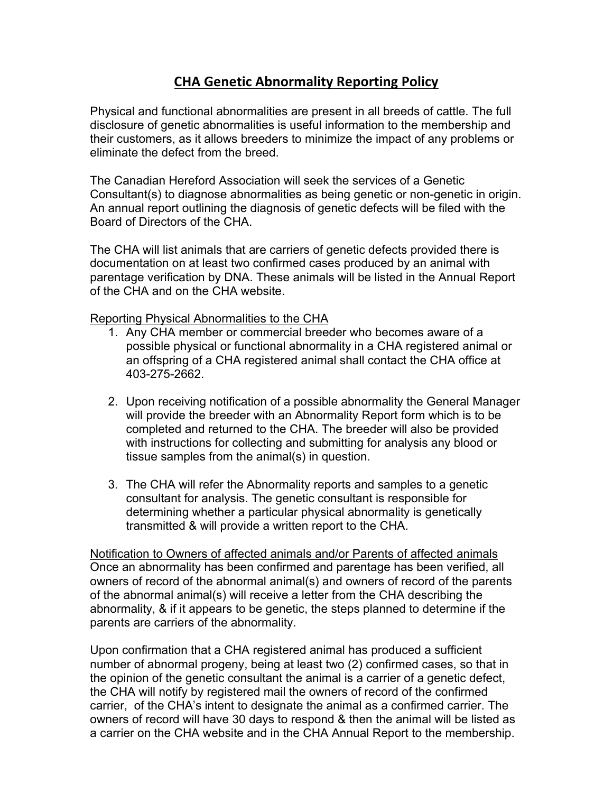## **CHA Genetic Abnormality Reporting Policy**

Physical and functional abnormalities are present in all breeds of cattle. The full disclosure of genetic abnormalities is useful information to the membership and their customers, as it allows breeders to minimize the impact of any problems or eliminate the defect from the breed.

The Canadian Hereford Association will seek the services of a Genetic Consultant(s) to diagnose abnormalities as being genetic or non-genetic in origin. An annual report outlining the diagnosis of genetic defects will be filed with the Board of Directors of the CHA.

The CHA will list animals that are carriers of genetic defects provided there is documentation on at least two confirmed cases produced by an animal with parentage verification by DNA. These animals will be listed in the Annual Report of the CHA and on the CHA website.

Reporting Physical Abnormalities to the CHA

- 1. Any CHA member or commercial breeder who becomes aware of a possible physical or functional abnormality in a CHA registered animal or an offspring of a CHA registered animal shall contact the CHA office at 403-275-2662.
- 2. Upon receiving notification of a possible abnormality the General Manager will provide the breeder with an Abnormality Report form which is to be completed and returned to the CHA. The breeder will also be provided with instructions for collecting and submitting for analysis any blood or tissue samples from the animal(s) in question.
- 3. The CHA will refer the Abnormality reports and samples to a genetic consultant for analysis. The genetic consultant is responsible for determining whether a particular physical abnormality is genetically transmitted & will provide a written report to the CHA.

Notification to Owners of affected animals and/or Parents of affected animals Once an abnormality has been confirmed and parentage has been verified, all owners of record of the abnormal animal(s) and owners of record of the parents of the abnormal animal(s) will receive a letter from the CHA describing the abnormality, & if it appears to be genetic, the steps planned to determine if the parents are carriers of the abnormality.

Upon confirmation that a CHA registered animal has produced a sufficient number of abnormal progeny, being at least two (2) confirmed cases, so that in the opinion of the genetic consultant the animal is a carrier of a genetic defect, the CHA will notify by registered mail the owners of record of the confirmed carrier, of the CHA's intent to designate the animal as a confirmed carrier. The owners of record will have 30 days to respond & then the animal will be listed as a carrier on the CHA website and in the CHA Annual Report to the membership.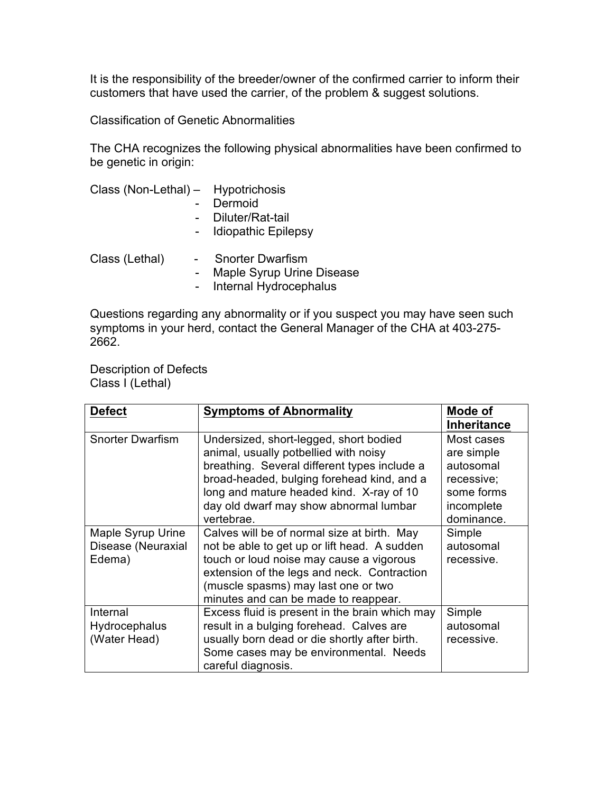It is the responsibility of the breeder/owner of the confirmed carrier to inform their customers that have used the carrier, of the problem & suggest solutions.

Classification of Genetic Abnormalities

The CHA recognizes the following physical abnormalities have been confirmed to be genetic in origin:

| Class (Non-Lethal) - Hypotrichosis |  |                                                    |  |
|------------------------------------|--|----------------------------------------------------|--|
|                                    |  | Dermoid                                            |  |
|                                    |  | Diluter/Rat-tail                                   |  |
|                                    |  | <b>Idiopathic Epilepsy</b>                         |  |
| Class (Lethal)                     |  | <b>Snorter Dwarfism</b><br>$M$ onia Overa Usina Di |  |

- Maple Syrup Urine Disease

- Internal Hydrocephalus

Questions regarding any abnormality or if you suspect you may have seen such symptoms in your herd, contact the General Manager of the CHA at 403-275- 2662.

Description of Defects Class I (Lethal)

| <b>Defect</b>           | <b>Symptoms of Abnormality</b>                 | Mode of            |
|-------------------------|------------------------------------------------|--------------------|
|                         |                                                | <b>Inheritance</b> |
| <b>Snorter Dwarfism</b> | Undersized, short-legged, short bodied         | Most cases         |
|                         | animal, usually potbellied with noisy          | are simple         |
|                         | breathing. Several different types include a   | autosomal          |
|                         | broad-headed, bulging forehead kind, and a     | recessive;         |
|                         | long and mature headed kind. X-ray of 10       | some forms         |
|                         | day old dwarf may show abnormal lumbar         | incomplete         |
|                         | vertebrae.                                     | dominance.         |
| Maple Syrup Urine       | Calves will be of normal size at birth. May    | Simple             |
| Disease (Neuraxial      | not be able to get up or lift head. A sudden   | autosomal          |
| Edema)                  | touch or loud noise may cause a vigorous       | recessive.         |
|                         | extension of the legs and neck. Contraction    |                    |
|                         | (muscle spasms) may last one or two            |                    |
|                         | minutes and can be made to reappear.           |                    |
| Internal                | Excess fluid is present in the brain which may | Simple             |
| <b>Hydrocephalus</b>    | result in a bulging forehead. Calves are       | autosomal          |
| (Water Head)            | usually born dead or die shortly after birth.  | recessive.         |
|                         | Some cases may be environmental. Needs         |                    |
|                         | careful diagnosis.                             |                    |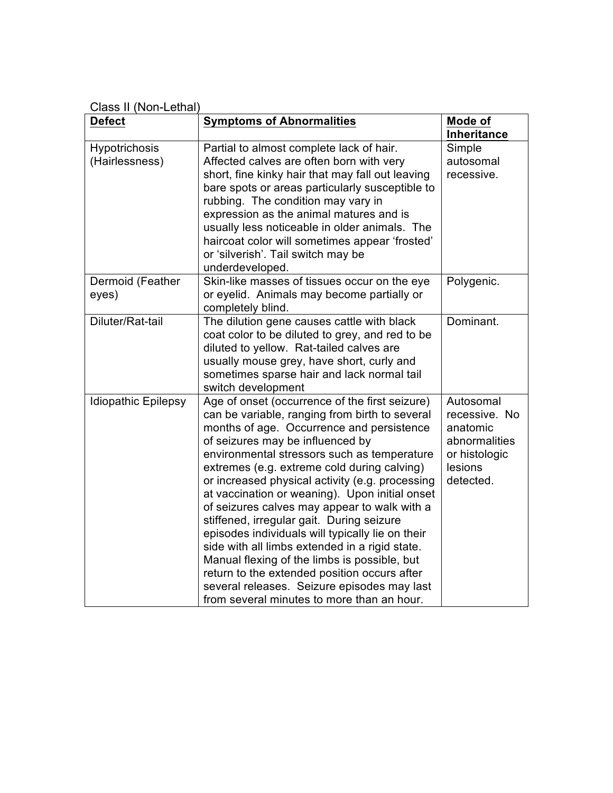Class II (Non-Lethal)

| <b>Defect</b>                   | <b>Symptoms of Abnormalities</b>                                                                                                                                                                                                                                                                                                                                                                                                                                                                                                                                                                                                                                                                                                                                                     | Mode of                                                                                          |
|---------------------------------|--------------------------------------------------------------------------------------------------------------------------------------------------------------------------------------------------------------------------------------------------------------------------------------------------------------------------------------------------------------------------------------------------------------------------------------------------------------------------------------------------------------------------------------------------------------------------------------------------------------------------------------------------------------------------------------------------------------------------------------------------------------------------------------|--------------------------------------------------------------------------------------------------|
|                                 |                                                                                                                                                                                                                                                                                                                                                                                                                                                                                                                                                                                                                                                                                                                                                                                      | <b>Inheritance</b>                                                                               |
| Hypotrichosis<br>(Hairlessness) | Partial to almost complete lack of hair.<br>Affected calves are often born with very<br>short, fine kinky hair that may fall out leaving<br>bare spots or areas particularly susceptible to<br>rubbing. The condition may vary in<br>expression as the animal matures and is<br>usually less noticeable in older animals. The<br>haircoat color will sometimes appear 'frosted'<br>or 'silverish'. Tail switch may be<br>underdeveloped.                                                                                                                                                                                                                                                                                                                                             | Simple<br>autosomal<br>recessive.                                                                |
| Dermoid (Feather<br>eyes)       | Skin-like masses of tissues occur on the eye<br>or eyelid. Animals may become partially or<br>completely blind.                                                                                                                                                                                                                                                                                                                                                                                                                                                                                                                                                                                                                                                                      | Polygenic.                                                                                       |
| Diluter/Rat-tail                | The dilution gene causes cattle with black<br>coat color to be diluted to grey, and red to be<br>diluted to yellow. Rat-tailed calves are<br>usually mouse grey, have short, curly and<br>sometimes sparse hair and lack normal tail<br>switch development                                                                                                                                                                                                                                                                                                                                                                                                                                                                                                                           | Dominant.                                                                                        |
| <b>Idiopathic Epilepsy</b>      | Age of onset (occurrence of the first seizure)<br>can be variable, ranging from birth to several<br>months of age. Occurrence and persistence<br>of seizures may be influenced by<br>environmental stressors such as temperature<br>extremes (e.g. extreme cold during calving)<br>or increased physical activity (e.g. processing<br>at vaccination or weaning). Upon initial onset<br>of seizures calves may appear to walk with a<br>stiffened, irregular gait. During seizure<br>episodes individuals will typically lie on their<br>side with all limbs extended in a rigid state.<br>Manual flexing of the limbs is possible, but<br>return to the extended position occurs after<br>several releases. Seizure episodes may last<br>from several minutes to more than an hour. | Autosomal<br>recessive. No<br>anatomic<br>abnormalities<br>or histologic<br>lesions<br>detected. |